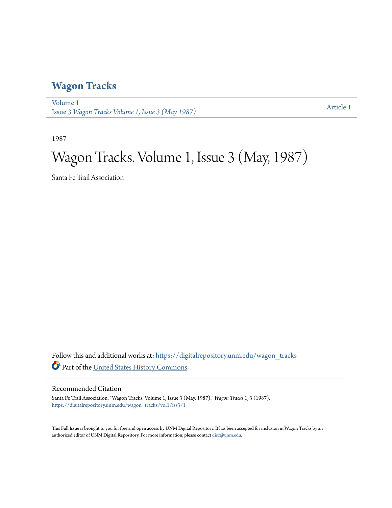#### **[Wagon Tracks](https://digitalrepository.unm.edu/wagon_tracks?utm_source=digitalrepository.unm.edu%2Fwagon_tracks%2Fvol1%2Fiss3%2F1&utm_medium=PDF&utm_campaign=PDFCoverPages)**

[Volume 1](https://digitalrepository.unm.edu/wagon_tracks/vol1?utm_source=digitalrepository.unm.edu%2Fwagon_tracks%2Fvol1%2Fiss3%2F1&utm_medium=PDF&utm_campaign=PDFCoverPages) Issue 3 *[Wagon Tracks Volume 1, Issue 3 \(May 1987\)](https://digitalrepository.unm.edu/wagon_tracks/vol1/iss3?utm_source=digitalrepository.unm.edu%2Fwagon_tracks%2Fvol1%2Fiss3%2F1&utm_medium=PDF&utm_campaign=PDFCoverPages)* [Article 1](https://digitalrepository.unm.edu/wagon_tracks/vol1/iss3/1?utm_source=digitalrepository.unm.edu%2Fwagon_tracks%2Fvol1%2Fiss3%2F1&utm_medium=PDF&utm_campaign=PDFCoverPages)

1987

# Wagon Tracks. Volume 1, Issue 3 (May, 1987)

Santa Fe Trail Association

Follow this and additional works at: [https://digitalrepository.unm.edu/wagon\\_tracks](https://digitalrepository.unm.edu/wagon_tracks?utm_source=digitalrepository.unm.edu%2Fwagon_tracks%2Fvol1%2Fiss3%2F1&utm_medium=PDF&utm_campaign=PDFCoverPages) Part of the [United States History Commons](http://network.bepress.com/hgg/discipline/495?utm_source=digitalrepository.unm.edu%2Fwagon_tracks%2Fvol1%2Fiss3%2F1&utm_medium=PDF&utm_campaign=PDFCoverPages)

#### Recommended Citation

Santa Fe Trail Association. "Wagon Tracks. Volume 1, Issue 3 (May, 1987)." *Wagon Tracks* 1, 3 (1987). [https://digitalrepository.unm.edu/wagon\\_tracks/vol1/iss3/1](https://digitalrepository.unm.edu/wagon_tracks/vol1/iss3/1?utm_source=digitalrepository.unm.edu%2Fwagon_tracks%2Fvol1%2Fiss3%2F1&utm_medium=PDF&utm_campaign=PDFCoverPages)

This Full Issue is brought to you for free and open access by UNM Digital Repository. It has been accepted for inclusion in Wagon Tracks by an authorized editor of UNM Digital Repository. For more information, please contact [disc@unm.edu.](mailto:disc@unm.edu)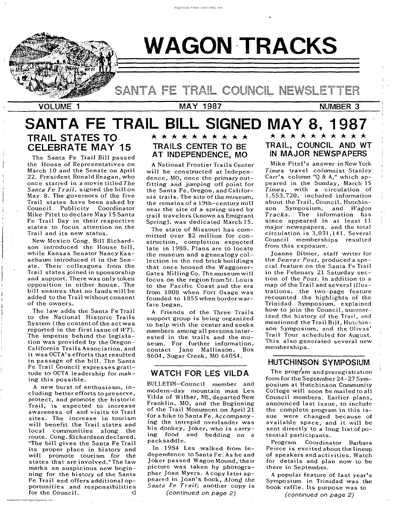•

# ---- - **- --**--- ---**--** - - - - - **-** --**----------** -- -- -- --- --- -- **- - ---- ---** --- COUNCIL

**WAGON -TRACKS**

, ;<br>;<br>;

# -----V-O--L-U-M-E~1~--------~M~A~Y~1~9~8~7---------N-U -M-B-E-R---3-'**- ,\**

, , , , ,

# **HUTCHINSON SYMPOSIUM**

The program and preregistration form for the September 24-27 Symposium at Hutchinson Community College will soon be mailed to all Council members. Earlier plans, announced last issue, to include the complete program in this issue were changed because of available space, and it will be sent directly to a long list of potential participants.

# \* \* \* \* \* \* \* \* \* **TRAIL, COUNCIL AND WT IN MAJOR NEWSPAPERS**

Program Coordinator Barbara Peirce is excited about the lineup of speakers and activities. Watch for details and plan now to be there in September.

A popular feature of last year's Symposium in Trinidad was the book raffle. Its purpose was to

(continued on page 2)

Mike Pitel's answer in New York *Times* travel columnist Stanley Carr's column "Q & A," which appeared in the Sunday, March 15 *Times,* with a circulation of 1,553,720, included information about the Trail, Council, Hutchinson Symposium, and *Wagon Tracks.* 'The information has since appeared in at least 11 major newspapers, and the total circulation is 3,031,141. Several Council memberships resulted from this exposure.

joanne Ditmer, staff writer for the *Denver Post,* produced a special feature on the Santa Fe Trail in the February 21 Saturday section of the *Post.* In addition to a map of the Trail and several illustrations, the two-page feature recounted the highlights of the Trinidad Symposium, explained hoW to join the Council, summarized the history of the Trail, and mentioned the Trail Bill, Hutchin- 'son Symposium, and the Olivas' Trail Tour scheduled for August. This also generated several new memberships.

# **WATCH FOR LES VILD A**

#### **TRAILS CENTER TO BE AT INDEPENDENCE, MO**

BULLETIN-Council member and modern-day mountain man Les Vilda of Wilber, NE, departed New Franklin, MO, and the Beginning of the Trail Monument on April 21 for a hike to Santa Fe. Accompanying the intrepid overiander was his donkey, joker, who is carrying food and bedding on a packsaddle.

In 1984 Les walked from Independence to Santa Fe. As he and joker passed Wagon Mound, their picture was taken by photographer joan Myers. A copy later appeared in joan's book, *Along the Santa Fe Trail;* another copy is

(continued on page 2)

A National Frontier Trails Center will be constructed at Independence, MO, once the primary outfitting and jumping off point for the Santa Fe, Oregon, and California trails. The site of the museum, the remains of a 19th-century mill near the site of a spring used by trail travelers (known as Emigrant Spring), was dedicated March 15.

The state of Missouri has committed over \$2 million for construction, completion expected late in 1988. Plans are to locate the museum and a genealogy collection in the red brick buildings that once housed the Waggoner-Gates Milling Co. The museum will focus on the region from St. Louis to the Pacific Coast and the era from 1808 when Fort Osage was founded to 1855 when border warfare began. A Friends of the Three Trails support group is being organized to help with the center and seeks members among all persons interested in the trails and the museum. For further information, contact jane Mallinson, Box 8604, Sugar Creek, MO 64054.

The Santa Fe Trail Bill passed the House of Representatives on March 10 and the Senate on April 22. President Ronald Reagan, who once starred in a movie titled *The Santa Fe Trail,* signed the bill on May 8. The governors of the five Trail states have been asked by Council Publicity Coordinator Mike Pitel to declare May 15 Santa Fe Trail Day in their respective states to focus attention on the Trail and its new status.

New Mexico Cong. Bill Richardson introduced the House bill, while Kansas Senator Nancy Kassebaum introduced it in the Senate. Their colleagues from the Trail states joined in sponsorship and support'. There was only token opposition in either house. The bill ensures that no lands will be added to the Trail without consent of the owners. The law adds the Santa Fe Trail to the National Historic Trails System (the content of the actwas reported in the first issue of *WT).* The impetus behind the legislation was provided by the Oregon-California Trails Association, and it was OCTA's efforts that resulted in passage of the bill. The Santa Fe Trail Council expresses gratitude to OCTA leadership for making this possible. ,A new burst of enthusiasm, including better efforts to preserve, protect, and promote the historic Trail, is expected to increase awareness of and visits to Trail sites. The increase in tourism will benefit the Trail states and local communities along the route. Cong. Richardson declared, "The bill gives the Santa Fe Trail its proper place in history and will promote tourism for the states that are involved."The law marks an auspicious new beginning for the history of the Santa Fe Trail and offers additional opportunities and responsibilities for the Council.  $\triangleleft$ 

### \* \* \* \* \* \* \* \* \*

# **SANTA FE TRAIL BILL SIGNED MAY 8, 1987**

# **TRAIL STATES TO. CELEBRATE MAY 15**

",

, I I

 $\prod_{i=1}^n$ 

, I  $\mathfrak{h}$ I

 $\left\{ \right.$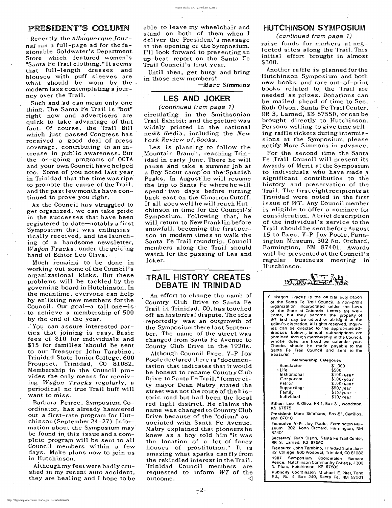#### PRESIDENT'S COLUMN

/

, Recently the *Albuquerque Journal* ran a full-page ad for the fasionable Goldwater's Department Store which featured women's "Santa Fe Trail clothing." It seems that full-length dresses and blouses with puff sleeves are what should be worn by the. modern lass contemplating a journey over the Trail.

Such and ad can mean only one thing. The Sarita Fe Trail is "hot" right now and advertisers are quick to take advantage of that fact. Of course, the Trail Bill which just passed Congress has received a good deal, of press coverage, contributing to an increase in public awareness. But the on-going programs of OCTA and your own Council have helped too. Some of you noted last year in Trinidad that the time was ripe to promote the cause of the Trail, and the past few months have continued to prove' you right.

As the Council has struggled to get organized, we can take pride in the successes that have been registered to date-notably a first Symposium that was enthusiastically received, and the launch- $\overline{a}$ ing of a handsome newsletter, *Wagon Tracks,* under the guiding hand of Editor Leo Oliva.

Much remains to be done in working out some of the Council's organizational kinks. But these problems will be tackled by the governing board in Hutchinson. In the meantime, everyone can help by enlisting new members forthe Council. Our goal-a tall one-is to achieve a membership of 500 by the end of the year. ,'You can assure interested parties that joining is easy. Basic fees of \$10 for individuals and, \$15 for families 'should be sent to our Treasurer John Tarabino, Trinidad State Junior College; 600 Prospect, Trinidad, CO 81082. Membership in' the Council provides the only means for receiving *Wagon Tracks* regularly, a periodical no true Trail buff will want to miss. Barbara Peirce, Symposium Coordinator, has already hammered out a first-rate program for Hutchinson (September 24-27). Information about the Symposium may be found in this issue and a complete program will be sent to all Council members within a few days. Make plans now to join us in Hutchinson.

Although Council Exec. V-P Joy Poole declared there is "documentation that indicates that itwould be honest to rename Country Club Drive to Santa Fe Trail," former city mayor Dean Mabry stated the streetwas not the route of the'historic road but had been the local red light district. He claims the name was changed to Country Club Drive because of the "odium" associated with Santa Fe Avenue. Mabry explained that pioneers he knew as a boy told him "it was the location of a lot of fancy' houses of prostitution." It is amazing what sparks can fly from the rekindled interest in the Trail. Trinidad Council members are requested to inform *WT* of the outcome.

Although my feet were badly crushed in my recent auto accident, they are healing and I hope to be

. able to leave my wheelchair and stand on both of them when I deliver the President's message at the opening of the Symposium. I'll look forward to presenting an up-beat report on the Santa Fe Trail Council's first year.

Until then, get busy and bring in those new members!

-M*a rc Simmons*

### **LES AND JOKER**

(continued from page 1) circulating in the Smithsonian Trail Exhibit; and the picture was widely printed in the national news media, including the *New York Review of, Books.*

Les is planning to follow the Mountain Branch, reaching Trinidad in early June. There he will pause and take a summer job at a Boy Scout camp on the Spanish Peaks. In August he will resume the trip to Santa Fe where he will spend' two days before turning back east on the Cimarron Cutoff. If all goes well he will reach Hutchinson in time for the Council's Symposium. Following that, he will return to New Franklin before snowfall, becoming the first person in modern times to walk the Santa Fe Trail roundtrip. Council members along the Trail should watch for the passing of Les and Joker.

> Wagon Tracks is the official publication of the Santa Fe Trail Council, a non-profit **organization incorporated under the laws** of the State of Colorado. Letters are welcome, but they become the property of WT and may be edited or abridged at the editor's discretion. All rights reserved. Inquiries can be directed to the appropriate ad**dresses below... Annual subscriptions are** obtained through membership in the Council, whose dues are fixed per calendar year. Checks should be made payable to the Santa Fe Trail Council and sent to the **treasurer.** .

President: Marc Simmons, Box 51, Cerrillos, NM 87010

### TRAIL 'HISTORY **CREATES DEBATE IN TRINIDAD**

Publicity Coordinator: Michael E. Pitel, Tano Rd., Rt. 4, Box 240, Santa Fe, NM 87501

An effort to change the name of Country Club Drive to Santa Fe Trail in Trinidad, CO, has touched off an historical dispute. The idea reportedly was an outgrowth of the Symposium there last September. The name of the street was changed from Santa Fe Avenue to County Club Drive in the 1920s.

#### HUTCHINSON **SYMPOSIUM**

(continued from page 1)

raise funds for markers at neglected sites along the Trail. This initial effort brought in almost \$300.

Another raffle is planned for the 'Hutchinson Symposium and both new books and rare out-of-print books related to the Trail are needed as prizes. Donations can be mailed ahead of time to Sec. Ruth Olson, Santa Fe Trail Center,  $RR$  3, Larned,  $KS$  67550, or can be brought directly to Hutchinson. Persons willing to give time selling raffle tickets during intermissions at the Symposium, please notify Marc Simmons in advance.

For the second time the Santa Fe Trail Council will present its Awards of Merit at the Symposium to individuals who have made a significant contribution to the history and preservation' of the Trail. The first eight recipients at Trinidad were noted in the first issue of *WT.* Any Council member is eligible to offer a nominee for consideration'. A brief description of the individual's service to the 'Trail should be sent before August 15 to Exec. V-P Joy Poole,Farmington Museum, 302 No. Orchard, Farmington, NM 87401. Awards will be presented at the Council's regular business meeting in Hutchinson.



Membership Categories

| Benefactor    | \$1,000            |
|---------------|--------------------|
| ' Life        | \$500              |
| Institutional | \$100/year         |
| Corporate     | $$100/\text{year}$ |
| Patron        | $$100$ /year       |
| Supporting:   | \$50/year          |
| Family        | $$15/\text{year}$  |
| Individual    | \$10/year          |
|               |                    |

Editor: Leo E. Oliva, RR 1, Box 31, Woodston, KS 67675

Executive V-P: Joy Poole, Farmington Museum, 302 North Orchard, Farmington, NM 87401 '

Secretary: Ruth Olson, Santa Fe Trail Center, RR 3, Larned, KS 67550

Treasurer: John Tarabino, Trinidad State Junior COllege, 600 Prospect, Trinidad, CO 81082

1987 Symposium Coordinator: Barbara Peirce, Hutchinson Community College, 1300 N. Plum, Hutchinson, KS 67502

2

*Wagon Tracks, Vol. 1 [1987], Iss. 3, Art. 1*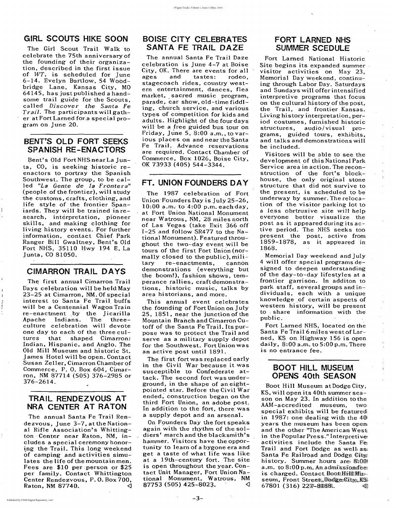.<br>.<br>. , I

 $\mathfrak{t}$ 

### **GIRL SCOUTS HIKE SOON**

The Girl Scout Trail Walk to celebrate the 75th anniversary of the founding of their organization, described in the first issue of WT, is scheduled for June 6-14. Evelyn Bartlow, 54 Woodbridge Lane, Kansas City, MO 64145, has just published a handsome trail guide for the Scouts, called *Discover the Santa Fe Trail.* The participants will gather at Fort Larned for,a special program on June 20.

# **BENT'S OLD FORT SEEKS SPANISH RE-ENACTORS**

Bent's Old FortNHSnearLa Junta, CO, is seeking historic reenactors to portray the Spanish Southwest. The group, to be called *"La Gente de la Frontera"* (people of the frontier), will study the customs, crafts, clothing, and life style of the frontier Spaniards. They will be trained in research, interpretation, pioneer skills, and making clothing for living history events. For further information, contact Chief Park Ranger Bill Gwaltney, Bent's Old Fort NHS, 35110 Hwy 194 E, La Junta, CO 81050.

The annual Santa Fe Trail Rendezvous, June  $3-7$ , at the National Rifle Association's Whitting*ton·* Center near Raton, NM, includes a special ceremony honor ing the Trail. This long weekend of camping and activities simulates the life of the mountain men. Fees are \$10 per ·person or \$25 per family. Contact Whittington Center Rendezvous, P. O. Box 700, Raton, NM 87740.  $\triangleleft$ 

# **CIMARRON TRAIL DAYS**

The first annual Cimarron Trail

Days celebration will be held May 23-25 at Cimarron, NM. Of special interest to Santa Fe Trail. buffs will be a Centennial Wagon Train re-enactment by the Jicarilla Apache Indians. The threeculture celebration will devote one day to each of the three cultures that shaped Cimarron: Indian, Hispanic, and Anglo. The Old Mill Museum and historic St. James Hotel will be open. Contact Susan Zeller, Cimarron Chamber of Commerce, P. O. Box 604, Cimarron, NM 87714 (505) 376-2985 or 376-2614.

The 1987 celebration of Fort Union' Founders Day is july 25-26,  $10:00$  a.m. to  $4:00$  p.m. each day, at Fort Union National Monument near Watrous, NM, 28 miles north of Las Vegas (take Exit 366 off 1-25 and follow SR477 to the National Monument). Featured throughout the two-day event will be tours of the first Fort Union (normally closed to the public),  $mili$ tary re-enactments, cannOn demonstrations (everything but the boom!), fashion shows, temperance rallies, craft demonstrations, historic music, talks by area historians, and more. This annual event celebrates the founding of Fort Union on July 25, 1851, near the junction of the Mountain Branch and Cimarron Cutoff of the Santa Fe Trail. Its purpose was to protect the Trail and serve as a military supply depot for the Southwest. Fort Union was an active post until 1891. The first fort was replaced early in the Civil War because it was susceptible to Confederate attack. The second fort was underground, in the shape of an eightpointed star. Before the Civil War ended, construction began on the third Fort Union, an adobe post. In addition to the fort, there was a supply depot and an arsenal. On Founders Day the fort speaks again with the rhythm of the soldiers' march and the blacksmith's hammer. Visitors have the opportunity to learn of a bygone era and get a taste of what life was like at a 19th-century fort. The site is open throughout the year. Contact Unit Manager, Fort Union National Monument, Watrous, NM  $87753$  (505) 425-8023.  $\sim$   $\sim$ 

#### **TRAIL RENDEZVOUS AT NRA CENTER AT RATON**

# **BOISE' CITY CELEBRATES SANTA FE TRAIL DAZE**

The annual Santa Fe Trail Daze celebration is June 4-7 at Boise City, OK. There are events for all ages and tastes: rodeo, stagecoach rides, country western entertainment, dances, flea market, sacred music program, parade, car show, old-time fiddling, church service, and various types of competition for kids and adults. Highlight of the four days will be a free guided bus tour on Friday, june 5, 8:00 a.m., to various places on and near the Santa Fe Trail. Advance reservations are required. Contact Chamber of Commerce, Box 1026, Boise City, OK 73933 (405) 544-3344.

#### **FT. UNION FOUNDERS DAY**

-3-

# **FORT LARNED NHS SUMMER SCEDULE**

Fort Larned National Historic Site begins its expanded summer visitor activities on May 23, Memorial Day weekend, continuing through Labor Day. Saturdays and Sundays will offer intensified interpretive programs that focus on the cultural history of the post, the Trail, and frontier Kansas. Living history interpretation, period costumes, furnished historic structures, audio/visual programs, guided tours, exhibits, and talks and demonstrations will be included.

Visitors Will be able to see the development of this National Park Service area in action. The reconstruction of the fort's blockhouse, the only original stone structure that did not survive to the present, is scheduled to be underway by summer. The relocation of the visitor parking lot to a less obrtrusive site wil1 help everyone better visualize the post as it appeared during its active period. The NHS seeks too present the post, active from 1859-1878, as it appeared in 1868.

Memorial Day weekend and july 4 will offer special programs designed to deepen understanding of the day-to-day lifestyles at a frontier garrison. In additon to park staff, several groups and individuals, each with a unique knowledge of certain aspects of western history, will be present to . share information with the public.

Fort Larned NHS, located on the Santa Fe Trail 6 miles west of Larned, KS on Highway 156 is open daily, 8:00 a.m. to 5:00 p.m. There is no entrance fee.

#### **BOOT HILL MUSEUM OPENS 40th SEASON**

Boot Hill Museum at Dodge City, KS, will open its 40th summer season on May 23. In addition to the AAM-accredited museum, two· special exhibits will be featured in 1987: one dealing with the 40; years the museum has been open. and the other "The American West. in the Popular Press." Interpretive activities include the Santa  $Fe$ Trail and Fort Dodge as well as; Santa Fe Railroad and Dodge  $City$ history. Summer hours are:  $8:00$ a.m. to  $8:00$  p.m. An admissiomfee; is charged. Contact Boott $\text{HillM}$ i seum, Front Street, Dodge City, KS  $67801$  (316) 2277-81188.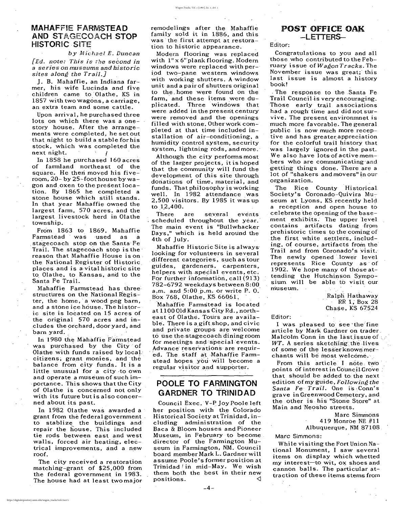*by Michael E. Duncan [Ed. note: This is the second in a* series on museums and historic *sites along the Trail.]*

Upon arrival, he purchased three lots on which there was a onestory house. After the arrangements were completed, he set out that night to build a stable for his stock, which was completed the next night.

J. B. Mahaffie, *an* Indiana farmer, his wife Lucinda and five children came to Olathe, KS in 1857 with two wagons, a carriage, an extra team and some cattle.

In 1858 he purchased 160 acres of farmland northeast of the square. He then moved his fiveroom,  $20 - by 25$ -foot house by wagon and.oxen tothepresentlocation. By 1865 he completed a stone house which still stands. In that year Mahaffie owned the largest farm, 570 acres, and the largest livestock herd in Olathe township.

In 1980 the Mahaffie Farmstead was purchased by the City of Olathe with funds raised by local: citizens; grant monies, and 'the· balance from city funds. It is <sup>a</sup> little unusual for a city to own and operate a museum of such importance. This shows that the City of Olathe is concerned not only with its future but is also concerned about its past.

In 1982 Olathe was awarded a grant from the federal government. to stablize, the buildings and repair the house. This included tie rods between east and west walls, forced air heating, electrical improvements, and a new  $\mathsf{root}$ .

From 1863 to 1869, Mahaffie Farmstead was 'used as a stagecoach stop on the Santa Fe Trail. The stage coach stop is the reason that Mahaffie House is on· the National Register of Historic places and is <sup>a</sup> vital historic site to, Olathe, to Kansas, and to the Santa Fe Trail.

Mahaffie Farmstead has three, structures on the National Register, the home, a wood peg barn, and a stone ice house. The historic site is located on 15 acres of the original 570 acres and includes the orchard, dooryard, and barn yard. '

Although the city performs most of the larger projects, it is hoped that the community will fund the development of this site through donations of time, material, and funds. That philosophy is working well. In 1982 attendance was 2,500 visitors. By 1985 it was up to  $12,400$ .

There are several events scheduled throughout the year. The main event is "Bullwhacker" Days," which is held around the 4th of July.

Mahaffie Historic Site is always looking for volunteers in several different categories, such as tour guides, gardeners, carpenters, helpers with special events, etc. For further information, call  $(913)$ 782-6792 weekdays between 8:00 a.m. and  $5:00$  p.m. or write  $P. 0$ . Box 768, Olathe, KS 66061. Mahaffie Farmstead is located at 1100 Old Kansas City Rd., northeast of Olathe. Tours are available. There is a gift shop, and civic and private groups are welcome to use the stagecoach dining room for meetings and special events. Advance reservations are required. The staff at Mahaffie Farmstead hopes you will become a regular visitor and supporter.

Council Exec. V~P Joy Poole left her position with the Colorado Historical Society at Trinidad, including administration of the Baca & Bloom houses and Pioneer Museum, in February to become. director of the Farmington Museum in Farmington, NM. Council board member Mark L. Gardner wi11 assume Poole's former position at Trinidad! in  $mid-May$ . We wish them both the best in their new positions.

museum.

Ralph Hathaway<br>RR 1, Box 28 Chase, KS 67524

The city received a restoration matching-grant of \$25,000 from the federal government in 1983. The house had at least two major remodelings after the Mahaffie family sold it in 1886, and this was the first attempt at restoration to historic appearance.

> The Rice County Historical Society's Coronado-Quivira Museum at Lyons, KS recently held a reception and open house to celebrate the opening of the basement exhibits. The upper level contains artifacts dating ·from prehistoric times to the coming of the first white settlers, including, of course, artifacts from the Trail and from Coronado's visit. The newly opened lower level represents Rice County as' of 1902. We hope many of those attending the Hutchinson Symposium will be able to visit our

Modern flooring was replaced with  $1" \times 6"$  plank flooring. Modern windows were replaced with period two-pane western windows with working shutters. A window unit and a pair of shutters original to the, home were found on the farm, and these items were duplicated. Three windows that were added in the present century were removed and the openings filled with stone. Other work completed at that time included installation of air-conditioning, a humidity control system, security system, lightning rods, and more.

> I was pleased to see 'the fine article by Mark Gardner on trader. Malcolm Conn in the last issue of ...  $WT.$  A series sketching the lives of some of the lesserknownmerchants will be most welcome.

From this article I note two points of interest in Council Grove. that should be added to the next edition of my guide, *Following the* Santa Fe *Trail*. One is Conn's grave in Greenwood Cemetery, and the other is his "Stone Store" at Main and 'Neosho streets.

# POOLE TO FARMINGTON GARDNER TO TRINIDAD

-4-

POST OFFICE OAK -LETTERS-

#### Editor:

Congratulations to you and all those who contributed to the February issue of *Wagon Tracks.* The November issue was great;' this last issue is almost a history book!

,The response to the Santa Fe Trail Council is very encouraging. Those early trail associations had a rough time and did not survive. The present environmnet is much more favorable. The general public is now much more receptive and has greater appreciation for the colorful trail history that was largely ignored in the past. We also have lots of active members who are communicating-and getting things done. There are a lot of "shakers and movers" in our organization.

#### Editor:

Marc Simmons 419 Monroe NE #11 Albuquerque, NM 87108.

Marc Simmons:

While visiting the Fort Union National Monument, I saw several items on display which whetted my interest-to wit, ox shoes and cannon balls. The particular attraction of these items stems from

4

#### MAHAFF!E FARMSTEAD AND STAGECOACH STOP **HISTORIC SITE**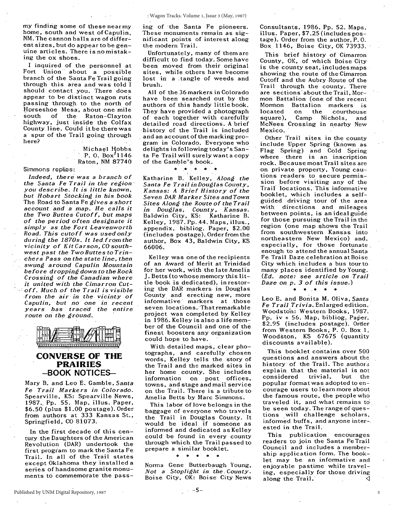my finding some of these nearmy home, south and west of Capulin, NM. The cannon balls are of differentsizes, but do appear to be genuine articles. There is no mistaking the ox shoes.

I inquired of the personnel at Fort Union' about a possible branch of the Santa Fe Trail going through this area and was told I should contact you. There does appear to be distinct wagon ruts passing through to the north of Horseshoe Mesa, about one mile<br>south of the Raton-Clayton of the Raton-Clayton highway, just inside the Colfax County line. Could it be there was a spur of the Trail going through here?

Simmons replies:

Michael Hobbs P. O.  $Box'1146$ Raton, NM 87740

*Indeed, there' was <sup>a</sup> branch of the Santa Fe Trail in the region' you describe. It is little known, but Hobart Stocking in his book* The Road to Santa Fe *gives a short account and a map. He calls it the Two Buttes Cutoff, but maps of the period often designate it simply as the Fort Leavenworth Road. This cutoff was used only during* the 1870s. It led from the *vicinity of Kit Carson,* CO *southwest past the Two Buttes to Trinchera Pass on the state line, then swung around Capulin Mountain , before dropping down to the Rock Crossing of the Canadian where it united with the Cimarron Cutoff. Much of the Trail is visible -from the air in the vicinty of*  $Capulin$ , *but no one in recent years has traced the entire route on the ground.*



#### **CONVERSE OF THE PRAIRIES -BOOK NOTICES-**

Mary B. and Leo E. Gamble, *Santa Fe Trail Markers in Colorado.* Spearville, KS: Spearville News, 1987., Pp. 55. Map, illus. Paper, \$6.50 (plus \$1.00 postage). Order from authors at 333 Kansas St., Springfield, CO 8i073.

In the first decade of this century the Daughters of the American Revolution (DAR) undertook the first program to mark the Santa Fe Trail. In all of the Trail states except Oklahoma they installed a series *of* handsome granite monuments to commemorate the passing of 'the Santa Fe pioneers. These monuments remain as significant points of interest along the modern Trail.

Unfortunately, many of them are difficult to find today. Some have been moved from their original sites, while others have become lost in a ,tangle of weeds and brush.

All of the 36 markers in Colorado have been searched out by the authors of this handy little book. They have provided a photograph of each together with carefully detailed road directions. A brief history of the Trail is included and an account of the marking program in Colorado. Everyone who delights in following today's Santa Fe Trail will surely want a copy of the Gamble's book.

#### • •• • • •

Katharine B. Kelley, *Along the Santa Fe Trail in Douglas County, Kansas: <sup>A</sup> Brief History of the Seven DAR Marker Sites and Town Sites Along the Route of the Trail in Douglas, County, Kansas.* Baldwin City, KS: Katharine B. Kelley, 1987. Pp. 44. Maps, illus., appendix, bibliog. Paper, \$2.00' (includes postage). Order from the author, Box 43, Baldwin City, KS 66006.

Kelley was one of the recipients of an Award of Merit at Trinidad for her work, with the late Amelia J. Betts (to whose memory this little book is dedicated), in restoring the DAR markers in Douglas County and erecting new, more informative markers at those seven locations. That remarkable project was completed by Kelley, in 1986. Kelley is also a life member of the Council and one of the finest boosters any organization could hope to have.

With detailed maps, clear photographs, and carefully' chosen words, Kelley tells the story of the Trail and the marked sites in her home county. She includes information on post offices, towns, and stage and mail service on the Trail. There is a tribute to Amelia Betts by Marc Simmons.

This labor of love belongs in the baggage of everyone who travels the Trail in Douglas County. It would be ideal if someone as informed and dedicated as Kelley could be found' in every county through which, the Trail passed to prepare a similar booklet.

o • • 0 0

Norma Gene Butterbaugh Young, *Not a Stoplight in 'the, County.* Boise City, OK: Boise City News Consultants, 1986. Pp. 52. Maps, illus. Paper, \$7.25 (includes postage). Order from the author, P. O. Box 1146, Boise City, OK 73933.

This brief history of Cimarron County, OK, of which Boise City is the county seat, includes maps showing the route of the Cimarron Cutoff and the Aubry Route of the Trail through the county. There are sections' about the Trail, Mormon Battalion (one of the recent<br>Mormon Battalion markers is Mormon Battalion markers is<br>located on the courthouse located on the courthouse<br>square), Camp Nichols, and Camp Nichols, and McNees Crossing in nearby New Mexico.

Other Trail sites in the county include Upper Spring (known as Flag Spring) and Cold Spring where there is an inscription rock. Because most Trail sites are on private property, Young cautions readers to secure permission before visiting any of the Trail locations. This informative booklet, which includes a selfguided driving tour of the area with directions and mileages between points, is an ideal guide for those pursuing the Trail in the region (one map shows the Trail from southwestern Kansas into northeastern New Mexico) and, especially, *for* those fortunate, enough to attend the annual Santa Fe Trail Daze celebration atBoise City which includes a bus tourto many places identified by Young. *(Ed. note: see article on -Trail Daze on* p. <sup>3</sup> *of this issue.)*

 $\bullet$   $\bullet$   $\bullet$ 

Leo E. and Bonita M. Oliva, Santa *Fe Trail Trivia.* Enlarged edition.' Woodsto'n: Western Books, 1987. Pp. iv + 56. Map, bibliog, Paper, \$2.95 (includes postage). Order from Western Books; P. O. Box I, Woodston, KS 67675 (quantity discounts available).

This booklet contains over 500 questions and answers about the history' of the Trail. The authors explain that the material is not<br>considered trivial, but the considered popuiar format was adopted to encourage users to learn more about the famous route, the people who traveled it, and what remains to be seen today. The range of questions will challenge scholars, informed buffs, and anyone inter-, ested in the Trail.

This publication encourages readers to join the Santa Fe Trail Council and includes a membership application form. The booklet may be an informative and enjoyable pastime while traveling, especially for those driving along the Trail.  $\triangleleft$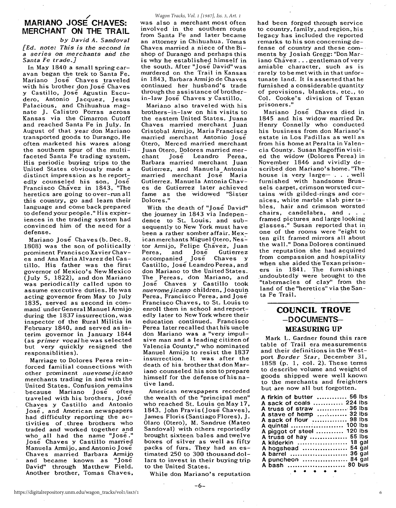#### MARIANO JOSÉ CHAVES: MERCHANT ON THE TRAIL

*by David A. Sandoval [Ed. note: This* is *the second* in *a series* on *merchants* arid *the Santa Fe trade.]*

In May 1840 a small spring caravan began the trek to Santa Fe. Mariano Jose Chaves traveled with his brother don José Chaves y Castillo, Jose Agustin Escudero, Antonio Jacquez, Jesus Palacious, and Chihuahua magnate J. Calistro Porras across Kansas via the Cimarron Cutoff and reached Santa Fe in July. In August of that year don Mariano transported goods to Durango. He often marketed his wares along the southern spur of the multifaceted Santa Fe trading system. His periodic buying trips to the United States obviously made a distinct impression as he reportedly counseled his son, José Francisco Chavez in 1843, ''The heretics are going to over-run all this country, go and learn their language and come back prepared to defend your people." His exper~ iences in the trading system had convinced him of the need for a defense.

Mariano José Chaves (b. Dec. 8, 1808) was the son of politically prominent Francisco Xavier Chaves and Ana Maria Alvarez del Castillo. His father was the first governor of Mexico's New Mexico (July 5, 1822), and don Mariano was periodically called upon to assume executive duties. He was acting governor from May to July 1835, served as second in command under General Manuel Armijo during the 1837 insurrection, was inspector of the Rural Militia in February 1840, and served as in~ terim governor in January 1844 (as *primer vocal* he was selected but very quickly resigned the responsiblities).

Marriage to Dolores Perea reinforced familial connections with other prominent *nuevomejicano* merchants trading in and with the United States. Confusion remains because Mariano Jose often traveled with his brothers. Jose Chaves y Castillo and Antonio Jose, and American newspapers had difficulty reporting the activities of. three brothers who traded and worked together and who all had the name "Jose." Jose Chaves y Castillo married Manuela Armijo, and Antonio Jose Chaves married Barbara Armijo and became known as "José David" through Matthew Field. Another brother, Tomas Chaves,

#### *Wagon Tracks, Vol. 1 [1987], Iss. 3, Art. 1*

was also a merchant most often involved in the southern route from Santa Fe and later became an attorney in Chihuahua. Tomas Chaves married a niece of the Bishop of Durango and perhaps this is why he established himself in the south. After "Iose David" was murdered on the Trail in Kansas in 1843, Barbara Armijo de Chaves continued her husband's trade through the assistance of brotherin-law Jose Chaves y Castillo.

Mariano also traveled with his brothers-in-law on his visits to the eastern United States. Juana Chaves married merchant Juan Cristobal Armijo, Maria Francisca married merchant Antonio Jose Otero, Merced married merchant Juan Otero, Dolores married mer-<br>chant Iose Leandro Perea. José Leandro Perea, Barbara married merchant Juan Gutierrez, and Manuela Antonia married merchant Jose Maria Gutierrez. Manuela Antonia Chaves de Gutierrez later achieved fame as the widowed "Sister Dolores."

With the death of "Jose David" the journey in 1843 via Independence to St. Louis; and subsequently to New York must have been a rather somber affair. Mexican merchants Miguel Otero, Nestor Armijo, Felipe Chavez, Juan<br>Perea. and Jose Gutierrez Perea, and José Gutierrez<br>accompanied José Chaves y accompanied Castillo, José Leandro Perea, and don Mariano to the United States. The Pereas. don Mariano, and Jose Chaves y Castillo took *nuevomejicanp* children, Joaquin Perea, Francisco Perea, and Jose Francisco Chaves, to St. Louis to enroll them in school and reportedly later to New York where their education continued. Francisco Perea later recalled that hi's uncle don Mariano was a "very impulsive man and a leading citizen of Valencia County," who nominated Manuel Armijo to resist the 1837 insurrection. It was after the death of his brother that don Mariano counseled his son to prepare himself for the defense of his native land,

American newspapers recorded the wealth of the "principal men" who reached St. Louis on May 17, 1843. John Pravis (Jose Chaves), James Floris(Santiago Flores), J. Olara (Otero), M. Sandrue (Mateo Sandoval) with others reportedly brought sixteen bales and twelve boxes of silver as well as fifty packs of furs. They had an estimated 250 to 300 thousand dollars to invest in their buying trip to the United States.

While don Mariano's reputation

had been forged through service to country. family, and region, his legacy has included the reported remarks to his son concerning defense of country and these com-· ments by Josiah Gregg: "Don Mariano Chavez . . . gentleman of very amiable character. such as is rarely to be met with in that unfortunate land. It is asserted that he furnished a considerable quantity of provisions, blankets, etc., to Col. Cooke's division of Texan prisoners."

Mariano José Chaves died in 1845 and his widow married Dr. Henry Connelly who conducted his business from don Mariano's estate in Los Padillas as well as from his home at Peralta in Valencia County. Susan Magoffin visited the widow (Dolores Perea) in November 1846 and vividly described don Mariano's home. "The house is very large- $\ldots$  well furnished with handsome Brussels carpet, crimson worsted curtains with gilded-rings and cornices. white marble slab pierta-· bles, hair and crimson worsted chairs, candelabra, and . . . framed pictures and large looking glasses." Susan reported that in one of the rooms were "eight to ten gilt framed mirrors all about the walL" Dona Dolores continued the reputation she had acquired from compassion and hospitality when she aided the Texan prisoners in 1841. The furnishings undoubtedly were brought to the "tabernacles of clay" from the land of the "heretics" via the Santa Fe Trail.

#### COUNCIL TROVE -DOCUMENTS-MEASURING UP

Mark L. Gardner found this rare table of Trail era measurements and their definitions in the Westport *Border Star,* December 31, 1858 (p. 1. col. 2). These terms to describe volume and weight of goods shipped were well known to the merchants and freighters but are now all but forgotten.

| A firkin of butter  56 lbs<br>A sack of coals  224 lbs<br>A truss of straw  36 lbs<br>A stave of hemp  32 lbs<br>A sack of flour  98 lbs<br>A quintal  100 lbs<br>A piggot of steel  120 lbs<br>A truss of hay  55 lbs<br>A kilderkin  18 gal<br>A hogshead  54 gal<br>A barrel  36 gal<br>A puncheon  84 gal<br>80 bus<br>A bash<br>. |
|----------------------------------------------------------------------------------------------------------------------------------------------------------------------------------------------------------------------------------------------------------------------------------------------------------------------------------------|

• • • • •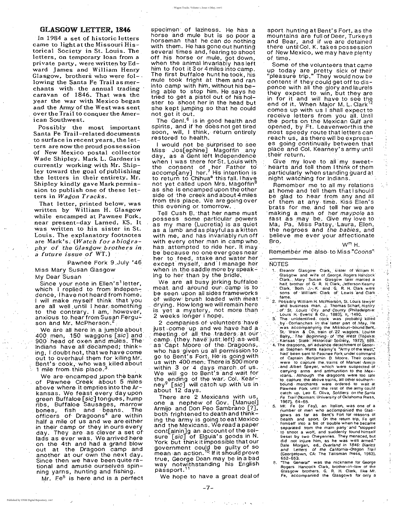,,-; '.

::.

sport hunting at Bent's Fort, as the mountains are full of Deer, Turkeys and Bear, and if we are detained there until Col. K. takes possession of New Mexico, we may have plenty<br>of time.

> .  $\ddots$  : ..

'.

Remember me also to Miss "Coons"

ing to her than by the bridle. . . . . . . . . Glasgow and wife of George. Rogers Hancock<br>Clark. Mary Susan Glasgow later married a

which I replied to from Independence, I have not heard from home. I will make myself think, that "you are all well until I hear something to the contrary. I am, however, anxious to, hear from Susan Ferguson and Mr. McPherson.<sup>2</sup>

We are all here in a jumble about 400 men, 150 waggons [sic] and 900 head of oxen and mules. The Indians have all decamped; thinking; I doubt not, that we have come out to overhaul them for 'killing Mr: Bent's cook, who was killed about 1 mile from this place. $3$ 

Some of the volunteers that came up today are pretty sick of their "pleasure trip." They would now be content if they could get off to dispence with all the glory and laurels they expect to win, but they are in for it and will have to see the end of it. When Major M. L. Clark<sup>12</sup> comes up with us I shall expect to receive letters from you all. Until the ports on the Mexican Gulf are opened, by Ft. Leavenworth is the most speedy route that letters can reach us, as there will be expresses going continually between that place and Col. Kearney's army until their return.

Remember me to all my relations at home and tell them that I should be glad to hear from any and all of them at any time. Kiss Ellen's brats for me and tell her we are 'making a' man of her maypole as fast as may be. Give my love to Ma; Pa, Miss Patsy, Laura, Ellen, the negroes and the babies, and believe me ever your affectionate  $\mathsf{Bro.}$  W<sup>m</sup> H.

Give my, love, to all' my sweet hearts and tell them I think of them ,particularly when standing guard at night watching for Indians.

The Genl. $<sup>6</sup>$  is in good health and</sup> spirits, and if he does not get tired soon, will, I think, return entirely restored to health.

I would not be surprised to see Miss Jos[ephine] Magoffin any day, as a Gent left Independence when I was there for St. Louis with the consent of her Father to  $\texttt{account}$ [any] her.<sup>7</sup> His intention is to return to Chihua<sup>a</sup> this fall. I have not yet called upon Mrs. Magoffin<sup>8</sup> as she is encamped upon the other side of the creek and about 4 miles from this place. We are going over this evening or tomorrow..

Tell Cush B. ·that her name must possess some particular powers as my mare (Lucretia) is as quiet as a lamb and as playful as a kitten with me, and has invariably run off with every other man in camp who. has attempted to ride her. It may , be because no one ever goes near her to feed, stake and water her except myself, and I manage her NOTES when in, the saddle more by speak  $-$  1. Eleanor Glasgow Clark, sister of Wiliam H.

We are all busy jerking buffaloe . Clark.., Mary ...Susan Glasgow later married a half brother of G: R. H. Clark, Jefferson Kearny meat, and around our camp is to ' Clark. Both J, K. 'and G., R. H. Clark were he seen upon be seen upon all sides frameworks , sons of will brush leaded with meat:  $\frac{1}{2}$  fame. of willow brush loaded with meat<sup>-12</sup> 2. Possibly William H. McPherson, St. Louis lawyer drying. How long we will remain here and business man. J. Thomas Scharf, History is vet a mystery, not more than Summary, not more than the country and county (Philadelphia:<br>
2 weeks longer I hope.<br>
2 companies of volunteers have by comanches in the latter part of May, He<br>
intervalse by comanches in the latter part of May, He<br>
interv 2 companies of volunteers have<br>
just come up and we have had a was accompanying the Missouri-bound Bent,<br>
meeting of all the traders at our streeting (they have just left) as well.<br>
as Capt Moore of the Dragoons, 4. The dr meeting of all the traders at our steading a column and the west (Topeka:<br>
camp (they have just left) as well stars state Historical Society, 1972) 589.<br>
as Capt Moore of the Dragoons, 4. The dragoons, an advance detachmen US with <sup>400</sup> men'; There is 500'm'ore were to capture the, trains of Manuel 'filmijo'~ within <sup>3</sup> or <sup>4</sup> days march . of. us. .and .Alben Speyer, which Were suspected of', .,. We will go to Bent's and wait for carrying all and ammunition to the Mexe With 400 men. There is 500 more<br>
were to capture the trains of Manuel Armijo<br>
thin 3 or 4 days march of us.<br>
e will go to Bent's and wait for<br>
e ending of the war. Col. Kear-<br>
to capture the above trains, all other south the ending of the war. Col. Kear-  $\frac{1}{10}$  to capture the above trains, all other southern-<br>nev<sup>9</sup> [sic] will catch up with us in bound merchants were ordered to wait at ney<sup>y</sup> [sic] will catch up with us in about 12 days. And Pawnee Fork until the rest of the army could . catch up. Leo E. Oliva, Soldiers on the Santa There are 2 Mexicans with us, Fe Trail (Norman: University of Oklahoma Press, one a nephew of Gov. [Manuel] 1967), 64-65.<br>Armijo and Don Peo Sambrano ... J. S. Mr. Fe (or Fay), an Italian, was one of a Armijo and Don Peo Sambrano .. both' frightened to death and think-<br>ing the army is going to eat Mexico bealth and sport. On the return trip, Fe got and the Mexican's. We read a paper<br>cont[ainin]g an account of the sei-<br>cont[ainin]g an account of the sei-<br>to shoot a wolf, and suddenly found himself sure  $\lceil$  sic $\lceil$  of Eiguia's goods in N. beset by two Cheyennes. They menaced, but<br>York, but think it impossible that our did not injure him, as he was well armed." York but think it impossible that our did not injure him, as he was well armed."<br>Government could be quilty of so. Bale Morgan, ed., Overland in 1846: Diaries government could be guilty of so ... wall morgan, eq., overlang in 1846; Diaries<br>mean :an action. <sup>10</sup>, If it should prove (Georgetown, CA: The Talisman Press, 1963), true, George Doan may be in a bad 652-653.<br>
way notwithstanding his English 6. The General" was the nickname for George<br>
passport.<sup>11</sup> (Jassow brothers, G. R. H. Clark, like Mr.

specimen' of laziness. He has a horse and mule but is so poor a horseman that he can do nothing with them. He has gone out hunting several times and, fearing to shoot off his horse or mule, got down, when the animal invariably has left him to foot it 3 or 4 miles into camp. The first buffaloe hunt he took, his mule took fright at them and ran into camp with him, without his being able to stop him. He says he tried to get a pistol out of his holster to shoot her in the head but she kept jumping so that he could not get it out.

That letter, printed below, was written by William H. Glasgow while encamped at Pawnee Fork, near present-day Larned, KS. It was written to his sister in St. Louis. The explanatory footnotes are Mark's. (Watch for <sup>a</sup> biography of the Glasgow brothers in *a* future issue of WT.)

Pawnee Fork 9.July '46 . Miss Mary Susan Glasgow My Dear Susan

Since your note in Ellen's letter,

We are encamped upon the bank of Pawnee Creek about 5 miles above where it empties into the Arkansas. We feast every day upon green Buffaloe [sic] tongues, hump ribs, Buffaloe Sausages, marrow bones, fish and beans. The officers of Dragoons<sup>4</sup> are within half a mile of us and we are either in their camp or they in ours every day. They are, as clever a set of' lads as ever was. We arrived here on the 4th and had a grand blow out at the Dragoon camp and another at our own the next day. Since then we have been quite rational and amuse ourselves spinning yarns, hunting and fishing.

Mr. Fe<sup>5</sup> is here and is a perfect

We hope to have a great deal of Fe, accompanied the Glasgows for only a

Glasgow brothers. G. R. H. Clark, like Mr.

. The contract of the contract of the contract of the contract of the contract of the contract of the contract of the contract of the contract of the contract of the contract of the contract of the contract of the contrac

#### . GLASGOW LETTER. 1846

In 1984 a set of historic letters came to light at the Missouri Historical Society in St. Louis. The. letters, on temporary loan from a private party, were written by Edward James and William Henry Glasgow, brothers who were  $fol$ lowing the Santa Fe Trail as merchants with, the annual trading caravan of 1846,. That was the year the war with Mexico began and the Army of the West was sent over the Trail to conquer the American Southwest.

Possibly the most important Santa Fe Trail-related documents to surface in recent years, the letters are now the proud possession of New Mexico postal collector Wade Shipley. Mark L. Gardner is currently working with Mr. Shipley toward the goal of publishing the letters in their entirety. Mr. Shipley kindly gave Mark permission to publish one of these letters in Wagon Tracks.

-7-

J

 $^{\circ}$  +  $^{\circ}$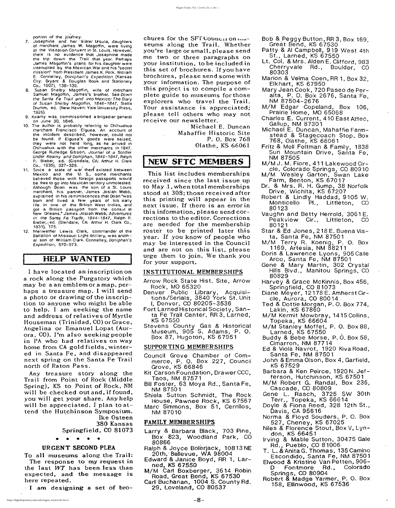- 7. Josephine and her 'sister Ursula, daughters of merchant James W. Magoffin, were living at the Visitation Convent in St. Louis. However, there is no evidence that Josephine made the trip down the Trail that year. Perhaps James Magottin's plans for his daughter were interrupted by the Mexican War and his "secret mission" from President James K. Polk, William E. Connelley, Doniphan's Expedition (Kansas City: Bryant & Douglas Book and Stationery Co., 1907), 138-139.
- 8. Susan Shelby Magottin, wife of merchant Samuel Magottin, James's brother. See Down the Santa Fe Trail and into Mexico: The Diary of Susan Shelby Magoffin, 1846-1847, Stella Drumm, ed. (New Haven: Yaie University Press, 1926),
- 9. Kearny was commissioned a brigadier general on June 30, 1846.
- 10. The author is probably referring to Chihuahua merchant Francisco Eiguea, An account of the incident described, however, could not be found. If E/guea's goods were seized, they were not held long, as he arrived in Chihuahua with the other merchants in 1847. George Rutledge Gibson, Journal of a Soldier Under Kearny and Doniphan, 1846-1847, Ralph P. Bieber, ed. (Glendale, CA: Arthur H, Clark
- Co., 1935), 327-328. 11. Since a state of war then existed between Mexico and the U. S., some merchants believed those with foreign passports would be free to go into Mexican territory unmolested, Although Doan was the son of a SI. Louis merchant, his partner, James Josiah Webb, explained in his reminiscences that Doan "was born and lived a few years of his early life in one of the British West Indies, and' got a British passport from the consul at New Orleans." James Josiah Webb, Adventures in the Santa Fe Trade, 1844-1847, Ralph P. Bieber,! ed. (Glendale, CA: Arthur H. Clark Co., 1931), 175.
- 12. Meriwether Lewis Clark, commander of the Battalion of Missouri Light Artillery, was another son of William Clark, Connelley, Doniphan's Expedition, 570-573.

### HELP WANTED

chures for the  $SFT$  Council on  $\cdots$ seums along the Trail. Whether you're large or small, please send me two or three paragraphs on YOur institution, to be included in this set of brochures. If you have brochures, please send some with your information. The purpose of this project is to compile a complete guide to museums for those explorers who travel the Trail. Your assistance is appreciated; please tell others who may not receive our newsletter.

This list includes memberships received since the last issue up to May ,1, when total memberships stood at 308; those received after this printing will appear in the next issue. If there is an errorin this information, please send cor- ' rections to the editor. Corrections are needed for the membership roster to be printed later this year. If you know of people who may be interested in the Council and are not on this list, please urge them to join. We thank you for your support.

I have located an inscription on a rock along the Purgatory which may be a an emblem or a map, perhaps a treasure map. I will send a photo or drawing of the inscription to anyone who might be able ,to help. I am seeking the name and address of relatives of Myrtle Houseman (Trinidad, CO) orGrace, Angelina or Emanuel Lopat (Aurora, CO). I'm also seeking people in PA who had relatives on way home from CA gold fields, wintered in Santa Fe, and disappeared next spring on the Santa Fe Trail, north of Raton Pass. Any treasure story along the Trail from Point of Rock (Middle Spring), KS to Point of Rock, NM will be checked out and, if found, you will get your share. Any help will be appreciated. I plan to attend the Hutchinson Symposium. Ike Osteen 380 Kansas Springfield, CO 81073

• • • • •

#### URGENT SECOND PLEA

To all museums along the Trail: The response to my request in the last WT has been,less than expected, and the message is here repeated.

I am designing a set of bro-

'Michael E. Duncan Mahaffie Historic Site P. O. Box 768 Olathe, KS 66061

#### INEW **SFTC MEMBERS I**

#### INSTITUTIONAL MEMBERSHIPS

Arrow Rock State Hist. Site, Arrow Rock, MO 65320

- 
- Denver Public Library, Acquisitions/Serials, 3840 York St. Unit I, Denver, CO 80205-3536
- Fort Larned Historical Society, Santa Fe Trail Center, RR 3, Larned, KS 67550
- Stevens County Gas & Historical Museum, 905 S. Adams, P. O. Box 87, Hugoton, KS 67951

#### SUPPORTING MEMBERSHIPS

- Council Grove Chamber of Commerce, P. O. Box 227, Council Grove, KS 66846
- Kit Carson Foundation, Drawer CCC, Taos, NM 87571 '
- Bill Foster, 63 Moya Rd., Santa Fe, NM 87501
- Shiela Sutton Schmidt, The Rock House, Pawnee Rock, KS 67567 Marc Simmons, Box 51, Cerrillos, NM 87010

#### FAMILY MEMBERSHIPS

- Larry & Barbara Black, 703 Pine, Box 823, Woodland Park, CO 80866
- Ralph & Joyce Bolerjack, 10813NE 20th,' Bellevue, WA 98004
- Edward & Janice Boyd, RR 1, Larned, KS 67550
- M/M Carl Boxberger, 3614 Robin Road, Great Bend, KS 67530 Carl Buchanan, 1004 S. County Rd. 29, Loveland, CO 80537
- Bob & Peggy Button, RR 3, Box 169, Great Bend, KS 67530
- Patty & AI Campbell, 919 West 4th St., Larned, KS 67550'
- Lt. Col. & Mrs. Alden E. Clifford, 983 Cherryvale Rd., Boulder, CO 80303
- Marion & Velma Coen, RR 1, Box 32, Elkhart, KS 67950
- Mary Jean Cook, 720 Paseo de Peralta, P. O. Box 2676, Santa Fe, NM 87504-2676
- M/M Edgar Copeland, Box 106, Prairie Home, MO 65068
- Charles E. Current, 410 East Aztec, Gallup, NM 87301
- Michael E. Duncan, Mahaffie Farmstead & Stagecoach Stop, Box 768, Olathe, KS 66061
- Fritz & Mell Feltman & Family, 1838 Sun Mountain Drive, Santa Fe, NM 87505
- M/M J. M. Fiore, 411 Lakewood Circle, Colorado Springs, CO 80910
- M/M Wesley Garton, Swan Lake Farm, Benton, KS 67017
- Dr. & Mrs. R. H. Gump, 38 Norfolk Drive, Wichita, KS 67207
- Robert & Lindly Haddad, 9105 W. Monticello PI., Littleton, CO 80123
- Vaughn and Betty Herrold, 3061 E. Peakview Cir., Littleton, CO 80121
- Star & Ed Jones, 218 E. Buena Vista, Santa Fe, NM 87501
- M/M Terry R. Koenig, P. O. Box 1169, Artesia, NM 88211
- Doris & Lawrence Lyons, 905 Calle Arco, Santa Fe, NM 87501
- Gene & Mary Martin, 302 Crystal Hills Blvd., Manitou Springs, CO 80829 '
- Harvey & Grace McKinnis, Box 456,
- Springfield, CO 81073
- Diane Meyer, 12178 E. Amherst Circle, Aurora, CO 80014
- Ted & Dottie Morgan, P. O. Box 774, Lakin, KS 67860
- M/M Kermit Mowbray, 1415 Collins, Topeka, KS 66604
- M/M Stanley Moffet, P. O. Box 88, Larned, KS 67550 .
- Buddy & Bebe Morse, P. O. Box 58, Cimarron, NM 87714
- Ed & Viola Navrot, 1920 Kiva Road, Santa Fe, NM 87501
- John &Emma Olson, Box 4, Garfield, KS 67529
- Barbara & Ken Peirce, 1920 N. Jefferson, Hutchinson, KS 67501
- M/M Robert G. Randal, Box 236, Cascade, CO 80809
- Gene L. Rasch, 3725 SW 30th Terr., Topeka, KS 66614
- Doyle & Fiona Reed, 328 12th St., DaVis, CA 95616
- Norma & Floyd Souders, P. O. Box 527, Cheney, KS 67025
- Niles & Florence Stout, Box V, Lyndon, KS 66451
- Irving & Mable Sutton, 30475 Gale Rd., Pueblo, CO 81006
- T. L. & Anita G. Thomas, 135 Camino Escondido, Santa Fe, NM 87501
- Elwood & Kristine Van Petten, 906- D Fontmore Rd., Colorado Springs, CO 80904
- Robert & Madge Yarmer, P. O. Box 158, Ellinwood, KS 67536

8

portion of the journey.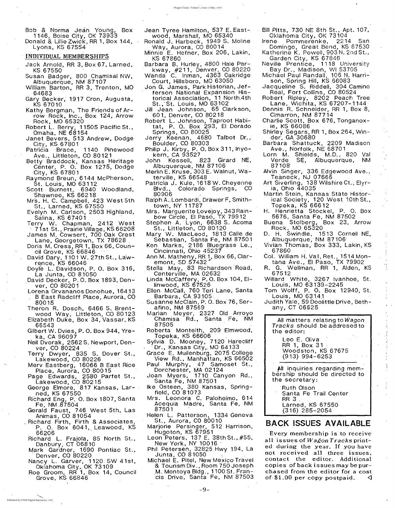Donald & Lillie Zwick, RR 1, Box 144, Lyons, KS 67554

#### INDIVIDUAL MEMBERSHIPS

- Jack Arnold, RR 3, Box 67, Larned, KS 67550
- Susan Badger, 800 Chamisal NW, Albuquerque, NM 87107
- William Barton, RR 3, Trenton, MO 64683
- Gary Becker, 1917 Cron, Augusta, KS 67010
- Kathy Bergman, The Friends of  $Ar$ row Rock, Inc., Box 124, Arrow Rock, MO 65320
- Robert L. Berry; 11505 Pacific St., Omaha, NE 68154
- Janet Bevers, 513 Andrew, Dodge City, KS 67801
- Pa tricia Brace, 1140 Pinewood Ave., Littleton, CO 80121
- Betty Braddock, Kansas Heritage Center, P. O. Box 1275, Dodge City, KS 67801 '
- Ra ymond Breun, 6144 McPherson, St. Louis, MO 63112
- Scott Burnett, 6940 Woodland, Shawnee, KS 66218
- Mrs. H. C. Campbell, 423 West 5th St., Larned, KS 67550
- Evelyn M., Carlson, 2503 Highland, Salina, KS 67401
- Terry W. Chapman, 2412 West
- . 71 st St., Prairie Village; KS 66208 James M. Cowsert, 700 Oak Crest Lane, Georgetown, TX 78628
- Doris M. Cress, RR 1, Box 66, Council Grove, KS 66846
- David Dary, 1101 W. 27th St., La'wrence, KS 66046
- Doyle L. Davidson, P. O. Box 316, La Junta, CO 81050
- David Decker, P.O. Box 1893, Den-

ver, CO 80201 Lorena Orvananos Donohue, 164.13 . B East Radcliff Place, Aurora, CO 8Q015 . Theron R. Dosch, 6466 S. Brentwood Way, Littleton, CO 80123 Elizabeth DUke, Box 34, Vassar, KS 66543 Gilbert W. Dvies, P. O. Box 944, Yreka, CA 96097 Neil Dvorak, 2562 S. Newport, Denver, CO 80224 Terry Dwyer, 835 S. Dover St., Lakewood, CO 80226 Merv Eastberg, 16066 B East Rice Place, Aurora, CO 80015 Page Edwards, 2580 Parfet St., Lakewood, CO 80215 George Elmore, 817 Kansas, Lar- , ned, KS 67550 Richard Eng, P. O. Box 1807, Santa Fe, NM ,87504 Gerald Faust, 746 West 5th, Las Animas, CO 81054 . Richard Firth, Firth & Associates, P. O. Box 6041, Leawood, KS<br>66206 Richard L. Frajola, 85 North St., Danbury, CT 06810 Mark Gardner, 1690 Pontiac St., Denver, CO 80220 Nancy L. Garver, 1120. SW 41st, Oklahoma City,. OK 73109 Roe Groom, RR 1, Box 14, Council Grove, KS 66846

- Jean Tyree Hamilton, 537 E. Eastwood, Marshall, MO 65340
- Ronald J. Harbeck, 1949 S. Moline Way, Aurora, CO 80014
- Minnie E. Hefner, Box 206, Lakin, KS 67860
- Barbara B. Huriey, 4800 Hale Parkway, #211, Denver, CO 80220
- Wanda C. Inman, 4363 Oakridge Court, Hillsboro, MO 63050
- Jon G. James, Park Historian, Jefferson National Expansion Historical Association, 11 North.4th St., St. Louis, MO 63102
- Jill Jean Johnson, 65 Clarkson, 601, Denver, CO 80218
- Robert L. Johnson, Taproot Habitat, P. O. Box 293, EI Dorado Springs, CO 80025
- Jerry Keenan, 4680 Talbot Dr., Boulder, CO 80303
- Philip J. Kirby, P. O. Box 311, Inyokern, CA 93527
- John Kessell, 823 Girard NE, Albuquerque; NM 87106
- Merlin E. Kruse, 303 E. Walnut, Waterville, KS 66548
- Patricia J. Kule, 1618 W. Cheyenne Blvd., Colorado Springs, CO 80906
- Ralph A.. Lombardi, Drawer F, Smithtown, NY 11787
- Mrs. Marguerite Lovejoy, 343 Rainbow Circle, El Paso, TX 79912
- Stephen A. Lyon, 6638 S. Acoma St., Littleton, CO 80120
- Mary W. MacLeod, 1813 Calle de Sebastian, Santa Fe, NM 87501
- Ken Marks, 2186 Bluegrass Le., Cincinnati, Ohio 45237
- Ann M. Matheny, RR 1, Box 66, Claremont, SD 57432
- Stella May, 83 Richardson Road, , Centerville, MA 02632
- Linda McCaffery, P. O. Box 104, El-

Every membership is to receive all issues of *Wagon Tracks* printed during the year. If you have not received all three issues, contact the editor. Additional copies of back issues may be purchased from the editor for a cost of  $$1.00$  per copy postpaid.  $\sqrt{ }$ 

.<br>.<br>. , ' . ,

linwood, KS 67526 Ellen McCall, 760 Teri Lane, Santa Barbara, CA 93105, Susanne McClain, P. O. Box 76, Serafino, NM 87569 Marian Meyer, 2327 Old Arroyo Chamisa Rd., Santa Fe, NM 87505 Roberta Monteith, 209 Elmwood, Topeka, KS 66606 ' Sylvia D. Mooney, 7120 Harecliff  $\blacksquare$  Dr., Kansas City, MO 64133 Grace E. MUilenburg, 2075 College View Rd., Manhattan, KS 66502 Paul Murphy, 47 Samoset St., Dorchester, MA 02124 Joan Myers, 1710 Canyon Rd., Santa Fe, NM 87501 Ike Osteen, 380 Kansas, Springfield, CO 81073 Mrs. Leonora C. Paloheimo, 614 Acequia Madre, Santa Fe, NM 87501 . Helen L. Patterson, 1334 Geneva St., Aurora, CO 80010 Marjorie Persinger, 512 Harrison, Hugoton, KS 67951 Leon Peters, 137 E. 38thSt.,#55, New York, NY 10016 ' Phil Petersen, 32825 Hwy 194, La Junta, CO 81050 Michael E. Pitel, New Mexico Travel & Tourism Div., Room 750 Joseph ,M. Montoya Bldg., 1100 St. Francis Drive, Santa Fe, NM 87503

- Bill Pitts, 730 NE 8th St., Apt. 107, Oklahoma City, OK 73104
- Irene Pommerenke, 2214 San Domingo, Great Bend, KS 67530 Katherine K. Powell, 903 N. 2nd St., Garden City, KS 67846
- Neville Prentice, 1118 University Bay Dr., Madison, WI 53705
- Michael Paul Randall, 106 N. Harrison, Spring Hill, KS 66083
- Jacqueline S. Riddell, 304 Camino Real, Fort Collins, CO 80524
- Robert Ripley, 8202 Peach Tree Lane, Wichita, KS 67207-1144
- Dennis R. Schneider, RR 1, Box 8, Cimarron, NM 87714
- Charlie Scott, Box 676, Tonganoxie,KS 66086
- Shirley Segars, RR 1, Box 264, Winder, GA 30680
- Barbara Shattuck, 2209 Madison Ave., Norfolk, NE 68701
- Lorn M. Shields, M.D., 820 Val Verde SE, Albuquerque, NM 87108
- Alvin Singer, 336 Edgewood Ave., Teaneck, NJ 07666
- Art Siverling, 138 Wilshire Ct., Elyria, Ohio 44035
- Martin Stein, Kansas State Historical Society, 120 West 10thSt., Topeka, KS 66612 '
- H. Henrietta Stockel, P. O. Box 5676, Santa Fe, NM 87502
- Buena Stolberg, Box 23, Arrow Rock, MO 65320
- D. H. Swindle, 1513 Cornell NE, Albuquerque, NM 87106
- Vivian Thomas, Box 333, Lakin, KS . 67860
- Col. William H. Vail, Ret., 1514 Montana Ave., EI Paso, TX 79902

- R. G. Wellman, RR 1, Alden, KS 67512
- Willard White, 3267 Ivanhoe, St.

Louis, MO 63139-2245 Tom Wolff, P. O. Box 12940, St. Louis, MO 63141 Judith Yale, 59 Doolittle Drive, Bethany, CT  $06525$ All m'atters relating to *Wagon* Tracks should be addresed to the editor: Leo E. Oliva RR 1, Box 31 Woodston, KS 67675 (913) 994-6253 All inquiries regarding membership should be directed to the secretary: 'Ruth Olson Santa Fe Trail Center RR 3 , Larned, KS 67550 (316) 285-2054

### **BACK ISSUES AVAILABLE**

,-.-